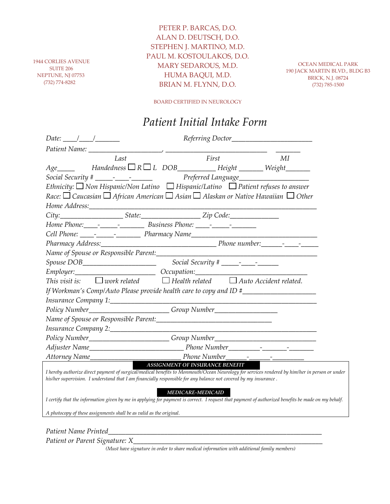1944 CORLIES AVENUE SUITE 206 NEPTUNE, NJ 07753 (732) 774-8282

PETER P. BARCAS, D.O. ALAN D. DEUTSCH, D.O. STEPHEN J. MARTINO, M.D. PAUL M. KOSTOULAKOS, D.O. MARY SEDAROUS, M.D. HUMA BAQUI, M.D. BRIAN M. FLYNN, D.O.

OCEAN MEDICAL PARK 190 JACK MARTIN BLVD., BLDG B3 BRICK, N.J. 08724 (732) 785-1500

BOARD CERTIFIED IN NEUROLOGY

## *Patient Initial Intake Form*

| Date: $\frac{1}{\sqrt{1-\frac{1}{2}}}\frac{1}{\sqrt{1-\frac{1}{2}}}\frac{1}{\sqrt{1-\frac{1}{2}}}\frac{1}{\sqrt{1-\frac{1}{2}}}\frac{1}{\sqrt{1-\frac{1}{2}}}\frac{1}{\sqrt{1-\frac{1}{2}}}\frac{1}{\sqrt{1-\frac{1}{2}}}\frac{1}{\sqrt{1-\frac{1}{2}}}\frac{1}{\sqrt{1-\frac{1}{2}}}\frac{1}{\sqrt{1-\frac{1}{2}}}\frac{1}{\sqrt{1-\frac{1}{2}}}\frac{1}{\sqrt{1-\frac{1}{2}}}\frac{1}{\sqrt{1-\frac{1}{2}}}\frac{1}{\$ |
|--------------------------------------------------------------------------------------------------------------------------------------------------------------------------------------------------------------------------------------------------------------------------------------------------------------------------------------------------------------------------------------------------------------------------|
|                                                                                                                                                                                                                                                                                                                                                                                                                          |
| First<br>MI<br>Last                                                                                                                                                                                                                                                                                                                                                                                                      |
| $Age$ Handedness $\Box R \Box L$ DOB Height Weight                                                                                                                                                                                                                                                                                                                                                                       |
|                                                                                                                                                                                                                                                                                                                                                                                                                          |
| Ethnicity: $\Box$ Non Hispanic/Non Latino $\Box$ Hispanic/Latino $\Box$ Patient refuses to answer                                                                                                                                                                                                                                                                                                                        |
| Race: $\Box$ Caucasian $\Box$ African American $\Box$ Asian $\Box$ Alaskan or Native Hawaiian $\Box$ Other                                                                                                                                                                                                                                                                                                               |
|                                                                                                                                                                                                                                                                                                                                                                                                                          |
|                                                                                                                                                                                                                                                                                                                                                                                                                          |
|                                                                                                                                                                                                                                                                                                                                                                                                                          |
|                                                                                                                                                                                                                                                                                                                                                                                                                          |
|                                                                                                                                                                                                                                                                                                                                                                                                                          |
|                                                                                                                                                                                                                                                                                                                                                                                                                          |
|                                                                                                                                                                                                                                                                                                                                                                                                                          |
| Employer: Cocupation:                                                                                                                                                                                                                                                                                                                                                                                                    |
| This visit is: $\square$ work related $\square$ Health related $\square$ Auto Accident related.                                                                                                                                                                                                                                                                                                                          |
| If Workman's Comp/Auto Please provide health care to copy and ID #_______________                                                                                                                                                                                                                                                                                                                                        |
|                                                                                                                                                                                                                                                                                                                                                                                                                          |
| Policy Number____________________________Group Number___________________________                                                                                                                                                                                                                                                                                                                                         |
|                                                                                                                                                                                                                                                                                                                                                                                                                          |
| Insurance Company 2: Manual Company 2:<br><u> 1989 - Johann Barn, mars and de Branch Barn, mars and de Branch Barn, mars and de Branch Barn, mars and de Br</u>                                                                                                                                                                                                                                                          |
| Policy Number___________________________Group Number____________________________                                                                                                                                                                                                                                                                                                                                         |
|                                                                                                                                                                                                                                                                                                                                                                                                                          |
| Phone Number                                                                                                                                                                                                                                                                                                                                                                                                             |
| <b>ASSIGNMENT OF INSURANCE BENEFIT</b><br>I hereby authorize direct payment of surgical/medical benefits to Monmouth/Ocean Neurology for services rendered by him/her in person or under<br>his/her supervision. I understand that I am financially responsible for any balance not covered by my insurance.                                                                                                             |
| <b>MEDICARE-MEDICAID</b><br>I certify that the information given by me in applying for payment is correct. I request that payment of authorized benefits be made on my behalf.                                                                                                                                                                                                                                           |
| A photocopy of these assignments shall be as valid as the original.                                                                                                                                                                                                                                                                                                                                                      |

*Patient Name Printed\_\_\_\_\_\_\_\_\_\_\_\_\_\_\_\_\_\_\_\_\_\_\_\_\_\_\_\_\_\_\_\_\_\_\_\_\_\_\_\_\_\_\_\_\_\_\_\_\_\_\_\_\_\_\_\_\_\_\_\_\_*

*Patient or Parent Signature: X\_* 

*(Must have signature in order to share medical information with additional family members)*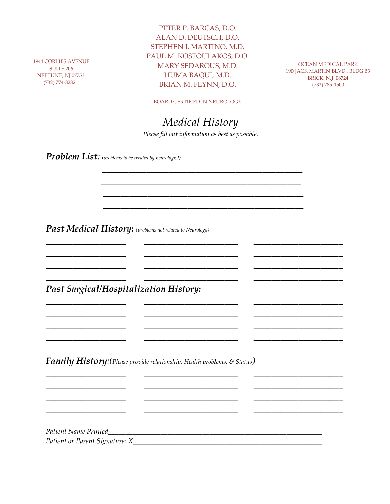1944 CORLIES AVENUE SUITE 206 NEPTUNE, NJ 07753 (732) 774-8282

PETER P. BARCAS, D.O. ALAN D. DEUTSCH, D.O. STEPHEN J. MARTINO, M.D. PAUL M. KOSTOULAKOS, D.O. MARY SEDAROUS, M.D. HUMA BAQUI, M.D. BRIAN M. FLYNN, D.O.

OCEAN MEDICAL PARK 190 JACK MARTIN BLVD., BLDG B3 BRICK, N.J. 08724 (732) 785-1500

BOARD CERTIFIED IN NEUROLOGY

## *Medical History*

*Please fill out information as best as possible.*

 *\_\_\_\_\_\_\_\_\_\_\_\_\_\_\_\_\_\_\_\_\_\_\_\_\_\_\_\_\_\_\_\_\_\_\_\_\_\_\_\_\_\_\_\_\_ \_\_\_\_\_\_\_\_\_\_\_\_\_\_\_\_\_\_\_\_\_\_\_\_\_\_\_\_\_\_\_\_\_\_\_\_\_\_\_\_\_\_\_\_\_ \_\_\_\_\_\_\_\_\_\_\_\_\_\_\_\_\_\_\_\_\_\_\_\_\_\_\_\_\_\_\_\_\_\_\_\_\_\_\_\_\_\_\_\_\_ \_\_\_\_\_\_\_\_\_\_\_\_\_\_\_\_\_\_\_\_\_\_\_\_\_\_\_\_\_\_\_\_\_\_\_\_\_\_\_\_\_\_\_\_\_*

*\_\_\_\_\_\_\_\_\_\_\_\_\_\_\_\_\_\_ \_\_\_\_\_\_\_\_\_\_\_\_\_\_\_\_\_\_\_\_\_ \_\_\_\_\_\_\_\_\_\_\_\_\_\_\_\_\_\_\_\_ \_\_\_\_\_\_\_\_\_\_\_\_\_\_\_\_\_\_ \_\_\_\_\_\_\_\_\_\_\_\_\_\_\_\_\_\_\_\_\_ \_\_\_\_\_\_\_\_\_\_\_\_\_\_\_\_\_\_\_\_ \_\_\_\_\_\_\_\_\_\_\_\_\_\_\_\_\_\_ \_\_\_\_\_\_\_\_\_\_\_\_\_\_\_\_\_\_\_\_\_ \_\_\_\_\_\_\_\_\_\_\_\_\_\_\_\_\_\_\_\_ \_\_\_\_\_\_\_\_\_\_\_\_\_\_\_\_\_\_ \_\_\_\_\_\_\_\_\_\_\_\_\_\_\_\_\_\_\_\_\_ \_\_\_\_\_\_\_\_\_\_\_\_\_\_\_\_\_\_\_\_*

*\_\_\_\_\_\_\_\_\_\_\_\_\_\_\_\_\_\_ \_\_\_\_\_\_\_\_\_\_\_\_\_\_\_\_\_\_\_\_\_ \_\_\_\_\_\_\_\_\_\_\_\_\_\_\_\_\_\_\_\_ \_\_\_\_\_\_\_\_\_\_\_\_\_\_\_\_\_\_ \_\_\_\_\_\_\_\_\_\_\_\_\_\_\_\_\_\_\_\_\_ \_\_\_\_\_\_\_\_\_\_\_\_\_\_\_\_\_\_\_\_ \_\_\_\_\_\_\_\_\_\_\_\_\_\_\_\_\_\_ \_\_\_\_\_\_\_\_\_\_\_\_\_\_\_\_\_\_\_\_\_ \_\_\_\_\_\_\_\_\_\_\_\_\_\_\_\_\_\_\_\_ \_\_\_\_\_\_\_\_\_\_\_\_\_\_\_\_\_\_ \_\_\_\_\_\_\_\_\_\_\_\_\_\_\_\_\_\_\_\_\_ \_\_\_\_\_\_\_\_\_\_\_\_\_\_\_\_\_\_\_\_*

*\_\_\_\_\_\_\_\_\_\_\_\_\_\_\_\_\_\_ \_\_\_\_\_\_\_\_\_\_\_\_\_\_\_\_\_\_\_\_\_ \_\_\_\_\_\_\_\_\_\_\_\_\_\_\_\_\_\_\_\_ \_\_\_\_\_\_\_\_\_\_\_\_\_\_\_\_\_\_ \_\_\_\_\_\_\_\_\_\_\_\_\_\_\_\_\_\_\_\_\_ \_\_\_\_\_\_\_\_\_\_\_\_\_\_\_\_\_\_\_\_ \_\_\_\_\_\_\_\_\_\_\_\_\_\_\_\_\_\_ \_\_\_\_\_\_\_\_\_\_\_\_\_\_\_\_\_\_\_\_\_ \_\_\_\_\_\_\_\_\_\_\_\_\_\_\_\_\_\_\_\_ \_\_\_\_\_\_\_\_\_\_\_\_\_\_\_\_\_\_ \_\_\_\_\_\_\_\_\_\_\_\_\_\_\_\_\_\_\_\_\_ \_\_\_\_\_\_\_\_\_\_\_\_\_\_\_\_\_\_\_\_*

*Problem List: (problems to be treated by neurologist)*

*Past Medical History: (problems not related to Neurology)*

*Past Surgical/Hospitalization History:* 

*Family History:(Please provide relationship, Health problems, & Status)*

*Patient Name Printed\_\_\_\_\_\_\_\_\_\_\_\_\_\_\_\_\_\_\_\_\_\_\_\_\_\_\_\_\_\_\_\_\_\_\_\_\_\_\_\_\_\_\_\_\_\_\_\_\_\_\_\_\_\_\_\_\_\_\_\_\_ Patient or Parent Signature: X\_\_\_\_\_\_\_\_\_\_\_\_\_\_\_\_\_\_\_\_\_\_\_\_\_\_\_\_\_\_\_\_\_\_\_\_\_\_\_\_\_\_\_\_\_\_\_\_\_\_\_\_\_\_*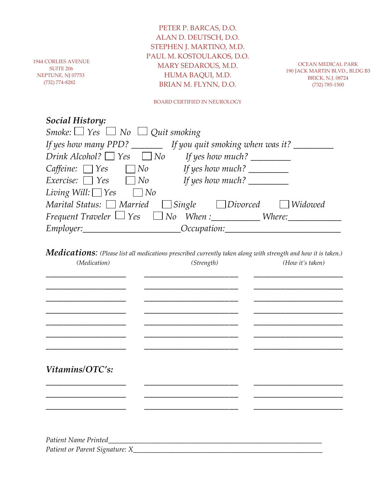1944 CORLIES AVENUE SUITE 206 NEPTUNE, NJ 07753 (732) 774-8282

PETER P. BARCAS, D.O. ALAN D. DEUTSCH, D.O. STEPHEN J. MARTINO, M.D. PAUL M. KOSTOULAKOS, D.O. MARY SEDAROUS, M.D. HUMA BAQUI, M.D. BRIAN M. FLYNN, D.O.

OCEAN MEDICAL PARK 190 JACK MARTIN BLVD., BLDG B3 BRICK, N.J. 08724 (732) 785-1500

BOARD CERTIFIED IN NEUROLOGY

## *Social History:*

| Smoke: $\Box$ Yes $\Box$ No $\Box$ Quit smoking                                                                                                                                                                                                                                                                                                                                                                                                          |
|----------------------------------------------------------------------------------------------------------------------------------------------------------------------------------------------------------------------------------------------------------------------------------------------------------------------------------------------------------------------------------------------------------------------------------------------------------|
| If yes how many PPD? $\_\_\_\_\_\$ If you quit smoking when was it? $\_\_\_\_\_\_\_\$                                                                                                                                                                                                                                                                                                                                                                    |
| Drink Alcohol? $\Box$ Yes $\Box$ No<br>If yes how much? $\frac{1}{\sqrt{1-\frac{1}{2}}}\frac{1}{\sqrt{1-\frac{1}{2}}}\frac{1}{\sqrt{1-\frac{1}{2}}}\frac{1}{\sqrt{1-\frac{1}{2}}}\frac{1}{\sqrt{1-\frac{1}{2}}}\frac{1}{\sqrt{1-\frac{1}{2}}}\frac{1}{\sqrt{1-\frac{1}{2}}}\frac{1}{\sqrt{1-\frac{1}{2}}}\frac{1}{\sqrt{1-\frac{1}{2}}}\frac{1}{\sqrt{1-\frac{1}{2}}}\frac{1}{\sqrt{1-\frac{1}{2}}}\frac{1}{\sqrt{1-\frac{1}{2}}}\frac{1}{\sqrt{1-\frac$ |
| Caffeine: $\Box$ Yes $\Box$ No If yes how much?                                                                                                                                                                                                                                                                                                                                                                                                          |
| <i>Exercise:</i> $\Box$ <i>Yes</i> $\Box$ <i>No</i><br>If yes how much? $\qquad \qquad$                                                                                                                                                                                                                                                                                                                                                                  |
| Living Will: $\Box$ Yes<br>$\Box$ No                                                                                                                                                                                                                                                                                                                                                                                                                     |
| Marital Status: $\Box$ Married $\Box$ Single $\Box$ Divorced $\Box$ Widowed                                                                                                                                                                                                                                                                                                                                                                              |
| Frequent Traveler $\Box$ Yes $\Box$ No When : Where:                                                                                                                                                                                                                                                                                                                                                                                                     |
| _Occupation:                                                                                                                                                                                                                                                                                                                                                                                                                                             |

*Medications: (Please list all medications prescribed currently taken along with strength and how it is taken.) (Medication) (Strength) (How it's taken)*

| Vitamins/OTC's:                      |  |  |
|--------------------------------------|--|--|
|                                      |  |  |
|                                      |  |  |
|                                      |  |  |
|                                      |  |  |
|                                      |  |  |
| Patient or Parent Signature: X______ |  |  |